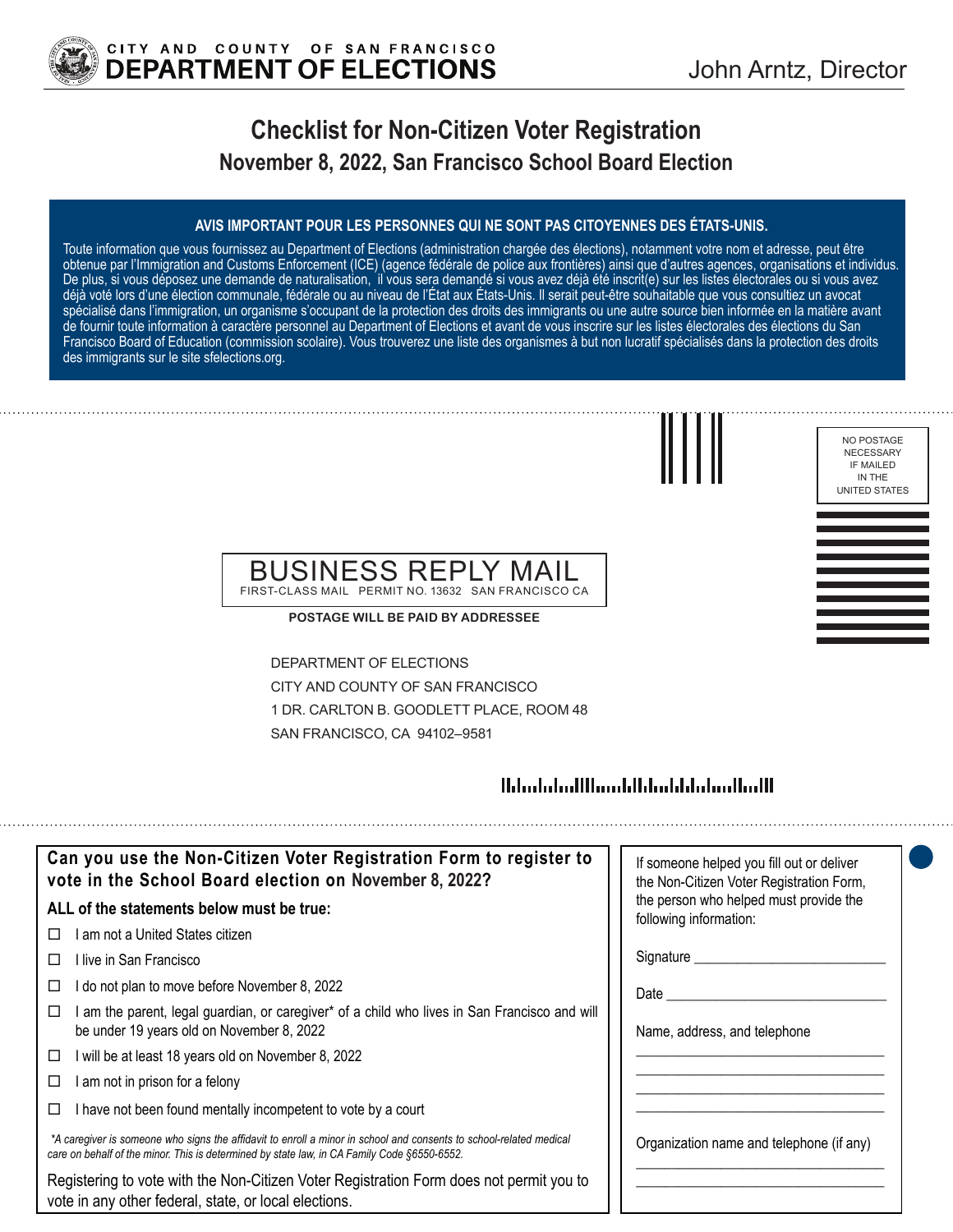

# **Checklist for Non-Citizen Voter Registration November 8, 2022, San Francisco School Board Election**

### **AVIS IMPORTANT POUR LES PERSONNES QUI NE SONT PAS CITOYENNES DES ÉTATS-UNIS.**

Toute information que vous fournissez au Department of Elections (administration chargée des élections), notamment votre nom et adresse, peut être obtenue par l'Immigration and Customs Enforcement (ICE) (agence fédérale de police aux frontières) ainsi que d'autres agences, organisations et individus. De plus, si vous déposez une demande de naturalisation, il vous sera demandé si vous avez déjà été inscrit(e) sur les listes électorales ou si vous avez déjà voté lors d'une élection communale, fédérale ou au niveau de l'État aux États-Unis. Il serait peut-être souhaitable que vous consultiez un avocat spécialisé dans l'immigration, un organisme s'occupant de la protection des droits des immigrants ou une autre source bien informée en la matière avant de fournir toute information à caractère personnel au Department of Elections et avant de vous inscrire sur les listes électorales des élections du San Francisco Board of Education (commission scolaire). Vous trouverez une liste des organismes à but non lucratif spécialisés dans la protection des droits des immigrants sur le site sfelections.org.



NO POSTAGE NECESSARY IF MAILED IN THE UNITED STATES

## BUSINESS REPLY MAIL FIRST-CLASS MAIL PERMIT NO. 13632 SAN FRANCISCO CA

**POSTAGE WILL BE PAID BY ADDRESSEE**

DEPARTMENT OF ELECTIONS CITY AND COUNTY OF SAN FRANCISCO 1 DR. CARLTON B. GOODLETT PLACE, ROOM 48 SAN FRANCISCO, CA 94102–9581

## 

| Can you use the Non-Citizen Voter Registration Form to register to<br>vote in the School Board election on November 8, 2022?                                                                                      | If someone helped you fill out or deliver<br>the Non-Citizen Voter Registration Form, |
|-------------------------------------------------------------------------------------------------------------------------------------------------------------------------------------------------------------------|---------------------------------------------------------------------------------------|
| ALL of the statements below must be true:                                                                                                                                                                         | the person who helped must provide the<br>following information:                      |
| ∣ am not a United States citizen.<br>П                                                                                                                                                                            |                                                                                       |
| ⊟live in San Francisco                                                                                                                                                                                            | Signature __________                                                                  |
| I do not plan to move before November 8, 2022                                                                                                                                                                     | Date                                                                                  |
| am the parent, legal guardian, or caregiver* of a child who lives in San Francisco and will<br>be under 19 years old on November 8, 2022                                                                          | Name, address, and telephone                                                          |
| will be at least 18 years old on November 8, 2022<br>□                                                                                                                                                            |                                                                                       |
| am not in prison for a felony                                                                                                                                                                                     |                                                                                       |
| I have not been found mentally incompetent to vote by a court                                                                                                                                                     |                                                                                       |
| *A caregiver is someone who signs the affidavit to enroll a minor in school and consents to school-related medical<br>care on behalf of the minor. This is determined by state law, in CA Family Code §6550-6552. | Organization name and telephone (if any)                                              |
| Registering to vote with the Non-Citizen Voter Registration Form does not permit you to<br>vote in any other federal, state, or local elections.                                                                  |                                                                                       |